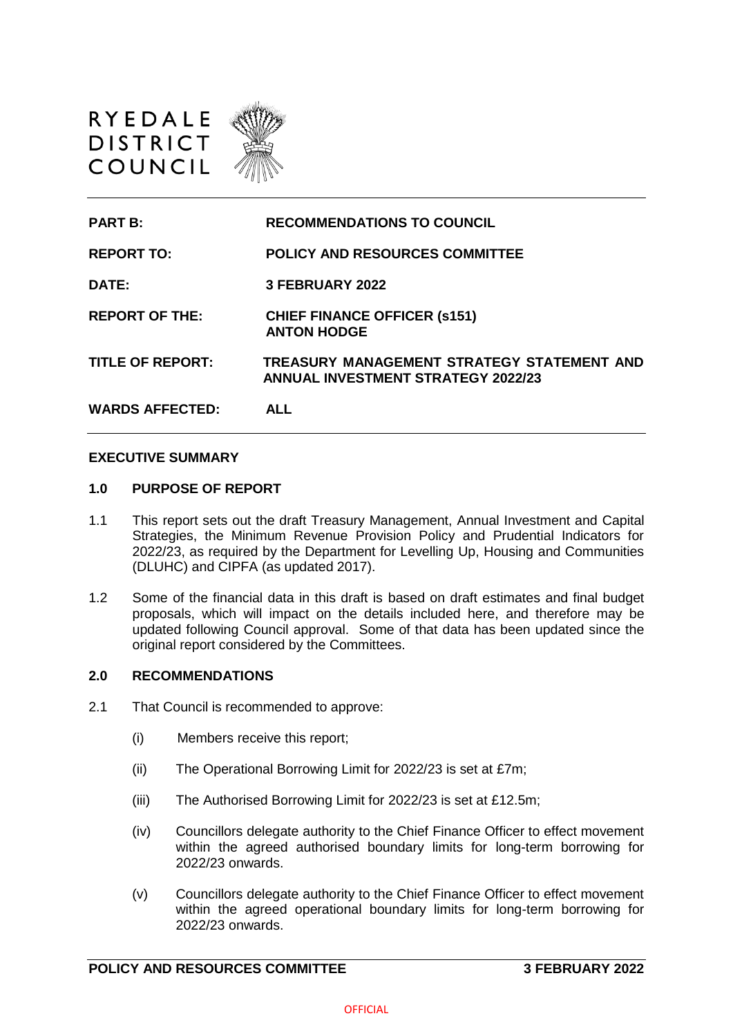

| <b>PART B:</b>          | <b>RECOMMENDATIONS TO COUNCIL</b>                                                       |
|-------------------------|-----------------------------------------------------------------------------------------|
| <b>REPORT TO:</b>       | <b>POLICY AND RESOURCES COMMITTEE</b>                                                   |
| DATE:                   | 3 FEBRUARY 2022                                                                         |
| <b>REPORT OF THE:</b>   | <b>CHIEF FINANCE OFFICER (s151)</b><br><b>ANTON HODGE</b>                               |
| <b>TITLE OF REPORT:</b> | TREASURY MANAGEMENT STRATEGY STATEMENT AND<br><b>ANNUAL INVESTMENT STRATEGY 2022/23</b> |
| <b>WARDS AFFECTED:</b>  | ALL                                                                                     |

#### **EXECUTIVE SUMMARY**

#### **1.0 PURPOSE OF REPORT**

- 1.1 This report sets out the draft Treasury Management, Annual Investment and Capital Strategies, the Minimum Revenue Provision Policy and Prudential Indicators for 2022/23, as required by the Department for Levelling Up, Housing and Communities (DLUHC) and CIPFA (as updated 2017).
- 1.2 Some of the financial data in this draft is based on draft estimates and final budget proposals, which will impact on the details included here, and therefore may be updated following Council approval. Some of that data has been updated since the original report considered by the Committees.

## **2.0 RECOMMENDATIONS**

- 2.1 That Council is recommended to approve:
	- (i) Members receive this report;
	- (ii) The Operational Borrowing Limit for 2022/23 is set at £7m;
	- (iii) The Authorised Borrowing Limit for 2022/23 is set at £12.5m;
	- (iv) Councillors delegate authority to the Chief Finance Officer to effect movement within the agreed authorised boundary limits for long-term borrowing for 2022/23 onwards.
	- (v) Councillors delegate authority to the Chief Finance Officer to effect movement within the agreed operational boundary limits for long-term borrowing for 2022/23 onwards.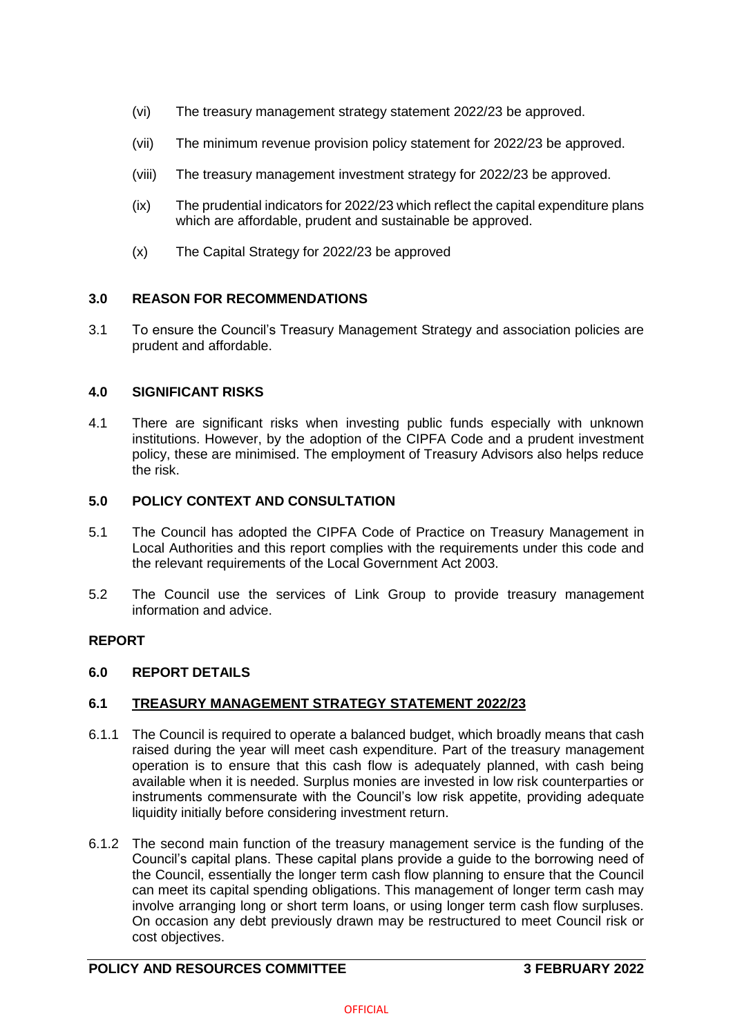- (vi) The treasury management strategy statement 2022/23 be approved.
- (vii) The minimum revenue provision policy statement for 2022/23 be approved.
- (viii) The treasury management investment strategy for 2022/23 be approved.
- (ix) The prudential indicators for 2022/23 which reflect the capital expenditure plans which are affordable, prudent and sustainable be approved.
- (x) The Capital Strategy for 2022/23 be approved

## **3.0 REASON FOR RECOMMENDATIONS**

3.1 To ensure the Council's Treasury Management Strategy and association policies are prudent and affordable.

## **4.0 SIGNIFICANT RISKS**

4.1 There are significant risks when investing public funds especially with unknown institutions. However, by the adoption of the CIPFA Code and a prudent investment policy, these are minimised. The employment of Treasury Advisors also helps reduce the risk.

## **5.0 POLICY CONTEXT AND CONSULTATION**

- 5.1 The Council has adopted the CIPFA Code of Practice on Treasury Management in Local Authorities and this report complies with the requirements under this code and the relevant requirements of the Local Government Act 2003.
- 5.2 The Council use the services of Link Group to provide treasury management information and advice.

# **REPORT**

## **6.0 REPORT DETAILS**

# **6.1 TREASURY MANAGEMENT STRATEGY STATEMENT 2022/23**

- 6.1.1 The Council is required to operate a balanced budget, which broadly means that cash raised during the year will meet cash expenditure. Part of the treasury management operation is to ensure that this cash flow is adequately planned, with cash being available when it is needed. Surplus monies are invested in low risk counterparties or instruments commensurate with the Council's low risk appetite, providing adequate liquidity initially before considering investment return.
- 6.1.2 The second main function of the treasury management service is the funding of the Council's capital plans. These capital plans provide a guide to the borrowing need of the Council, essentially the longer term cash flow planning to ensure that the Council can meet its capital spending obligations. This management of longer term cash may involve arranging long or short term loans, or using longer term cash flow surpluses. On occasion any debt previously drawn may be restructured to meet Council risk or cost objectives.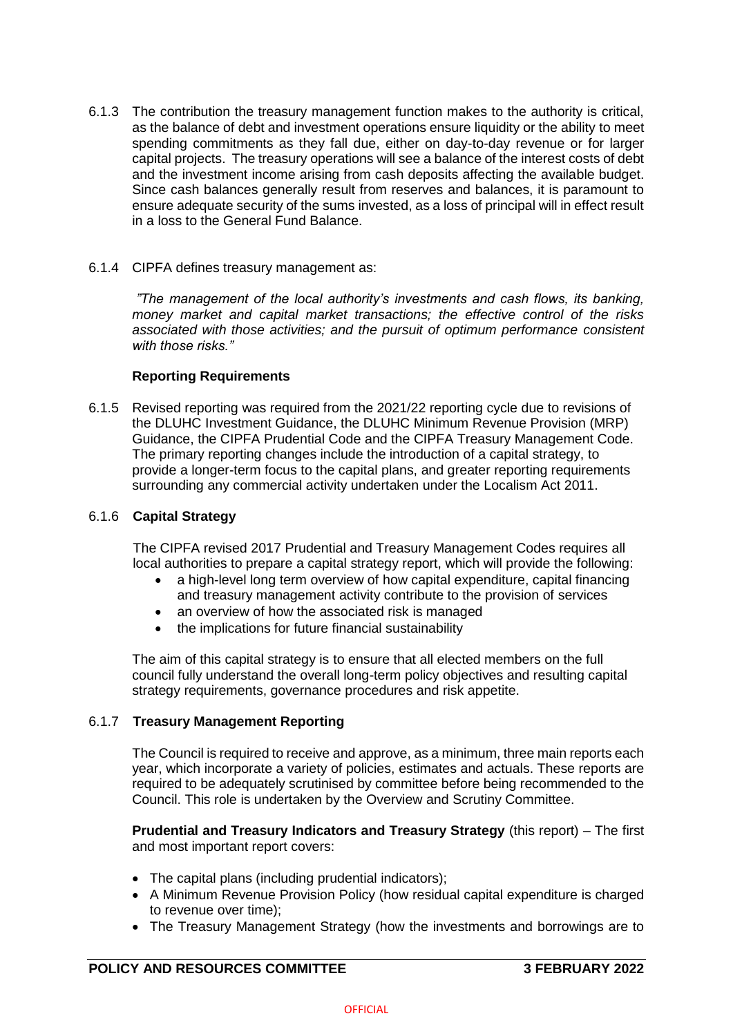6.1.3 The contribution the treasury management function makes to the authority is critical, as the balance of debt and investment operations ensure liquidity or the ability to meet spending commitments as they fall due, either on day-to-day revenue or for larger capital projects. The treasury operations will see a balance of the interest costs of debt and the investment income arising from cash deposits affecting the available budget. Since cash balances generally result from reserves and balances, it is paramount to ensure adequate security of the sums invested, as a loss of principal will in effect result in a loss to the General Fund Balance.

## 6.1.4 CIPFA defines treasury management as:

*"The management of the local authority's investments and cash flows, its banking, money market and capital market transactions; the effective control of the risks associated with those activities; and the pursuit of optimum performance consistent with those risks."*

## **Reporting Requirements**

6.1.5 Revised reporting was required from the 2021/22 reporting cycle due to revisions of the DLUHC Investment Guidance, the DLUHC Minimum Revenue Provision (MRP) Guidance, the CIPFA Prudential Code and the CIPFA Treasury Management Code. The primary reporting changes include the introduction of a capital strategy, to provide a longer-term focus to the capital plans, and greater reporting requirements surrounding any commercial activity undertaken under the Localism Act 2011.

## 6.1.6 **Capital Strategy**

The CIPFA revised 2017 Prudential and Treasury Management Codes requires all local authorities to prepare a capital strategy report, which will provide the following:

- a high-level long term overview of how capital expenditure, capital financing and treasury management activity contribute to the provision of services
- an overview of how the associated risk is managed
- the implications for future financial sustainability

The aim of this capital strategy is to ensure that all elected members on the full council fully understand the overall long-term policy objectives and resulting capital strategy requirements, governance procedures and risk appetite.

## 6.1.7 **Treasury Management Reporting**

The Council is required to receive and approve, as a minimum, three main reports each year, which incorporate a variety of policies, estimates and actuals. These reports are required to be adequately scrutinised by committee before being recommended to the Council. This role is undertaken by the Overview and Scrutiny Committee.

**Prudential and Treasury Indicators and Treasury Strategy** (this report) – The first and most important report covers:

- The capital plans (including prudential indicators);
- A Minimum Revenue Provision Policy (how residual capital expenditure is charged to revenue over time);
- The Treasury Management Strategy (how the investments and borrowings are to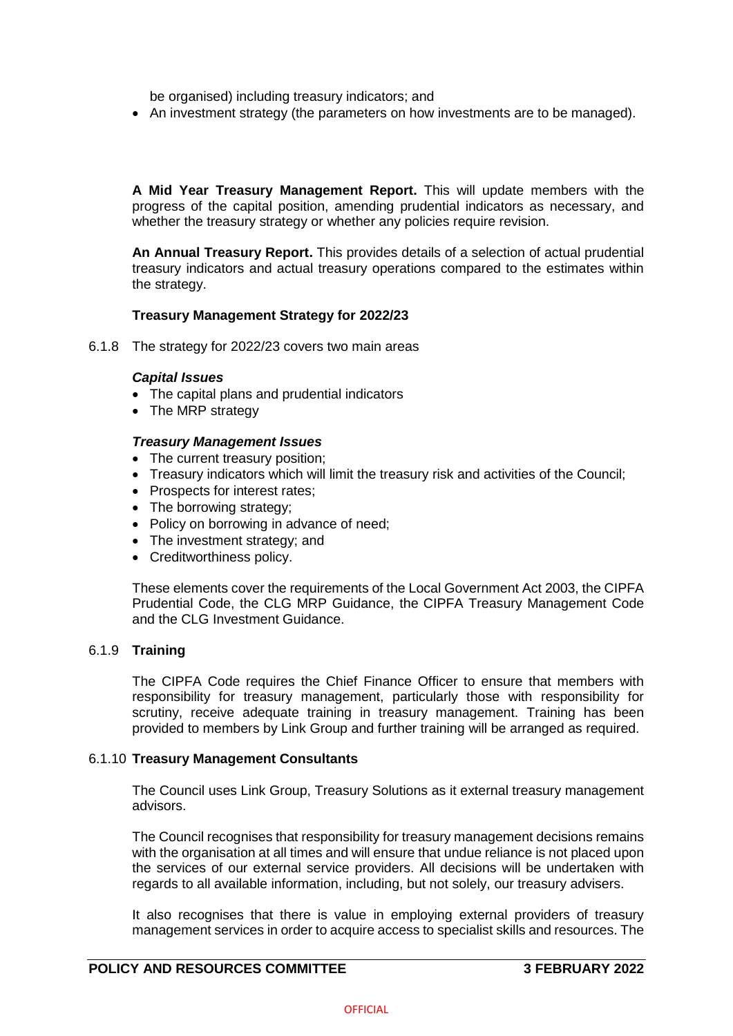be organised) including treasury indicators; and

• An investment strategy (the parameters on how investments are to be managed).

**A Mid Year Treasury Management Report.** This will update members with the progress of the capital position, amending prudential indicators as necessary, and whether the treasury strategy or whether any policies require revision.

**An Annual Treasury Report.** This provides details of a selection of actual prudential treasury indicators and actual treasury operations compared to the estimates within the strategy.

### **Treasury Management Strategy for 2022/23**

6.1.8 The strategy for 2022/23 covers two main areas

### *Capital Issues*

- The capital plans and prudential indicators
- The MRP strategy

### *Treasury Management Issues*

- The current treasury position;
- Treasury indicators which will limit the treasury risk and activities of the Council;
- Prospects for interest rates;
- The borrowing strategy;
- Policy on borrowing in advance of need;
- The investment strategy; and
- Creditworthiness policy.

These elements cover the requirements of the Local Government Act 2003, the CIPFA Prudential Code, the CLG MRP Guidance, the CIPFA Treasury Management Code and the CLG Investment Guidance.

## 6.1.9 **Training**

The CIPFA Code requires the Chief Finance Officer to ensure that members with responsibility for treasury management, particularly those with responsibility for scrutiny, receive adequate training in treasury management. Training has been provided to members by Link Group and further training will be arranged as required.

#### 6.1.10 **Treasury Management Consultants**

The Council uses Link Group, Treasury Solutions as it external treasury management advisors.

The Council recognises that responsibility for treasury management decisions remains with the organisation at all times and will ensure that undue reliance is not placed upon the services of our external service providers. All decisions will be undertaken with regards to all available information, including, but not solely, our treasury advisers.

It also recognises that there is value in employing external providers of treasury management services in order to acquire access to specialist skills and resources. The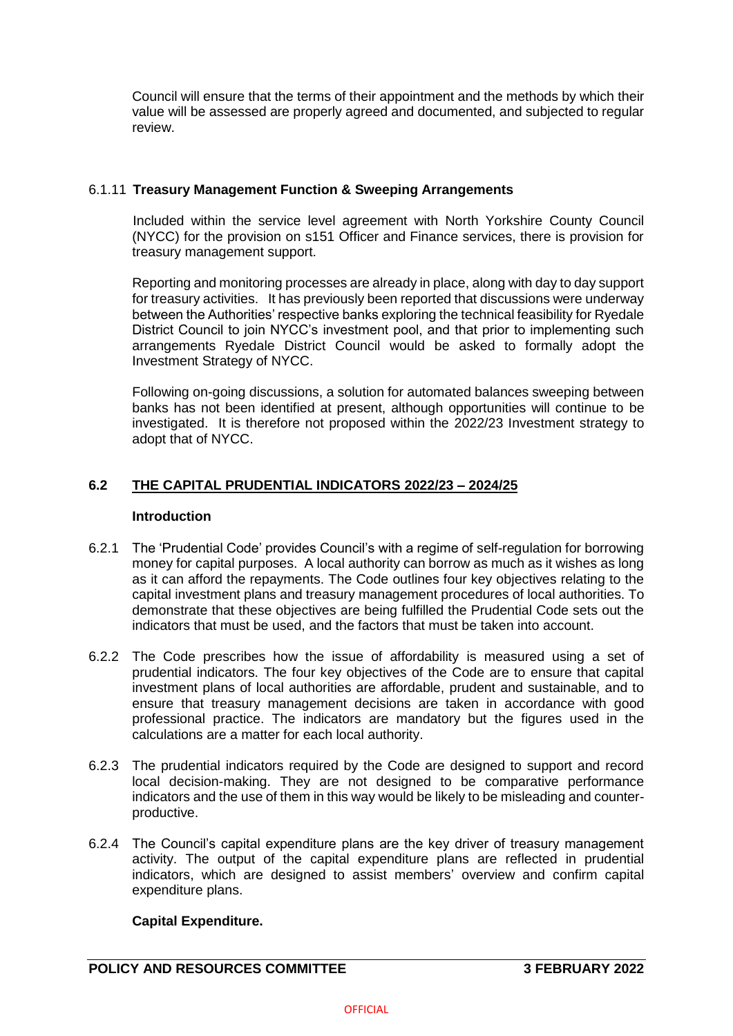Council will ensure that the terms of their appointment and the methods by which their value will be assessed are properly agreed and documented, and subjected to regular review.

## 6.1.11 **Treasury Management Function & Sweeping Arrangements**

Included within the service level agreement with North Yorkshire County Council (NYCC) for the provision on s151 Officer and Finance services, there is provision for treasury management support.

Reporting and monitoring processes are already in place, along with day to day support for treasury activities. It has previously been reported that discussions were underway between the Authorities' respective banks exploring the technical feasibility for Ryedale District Council to join NYCC's investment pool, and that prior to implementing such arrangements Ryedale District Council would be asked to formally adopt the Investment Strategy of NYCC.

Following on-going discussions, a solution for automated balances sweeping between banks has not been identified at present, although opportunities will continue to be investigated. It is therefore not proposed within the 2022/23 Investment strategy to adopt that of NYCC.

# **6.2 THE CAPITAL PRUDENTIAL INDICATORS 2022/23 – 2024/25**

### **Introduction**

- 6.2.1 The 'Prudential Code' provides Council's with a regime of self-regulation for borrowing money for capital purposes. A local authority can borrow as much as it wishes as long as it can afford the repayments. The Code outlines four key objectives relating to the capital investment plans and treasury management procedures of local authorities. To demonstrate that these objectives are being fulfilled the Prudential Code sets out the indicators that must be used, and the factors that must be taken into account.
- 6.2.2 The Code prescribes how the issue of affordability is measured using a set of prudential indicators. The four key objectives of the Code are to ensure that capital investment plans of local authorities are affordable, prudent and sustainable, and to ensure that treasury management decisions are taken in accordance with good professional practice. The indicators are mandatory but the figures used in the calculations are a matter for each local authority.
- 6.2.3 The prudential indicators required by the Code are designed to support and record local decision-making. They are not designed to be comparative performance indicators and the use of them in this way would be likely to be misleading and counterproductive.
- 6.2.4 The Council's capital expenditure plans are the key driver of treasury management activity. The output of the capital expenditure plans are reflected in prudential indicators, which are designed to assist members' overview and confirm capital expenditure plans.

## **Capital Expenditure.**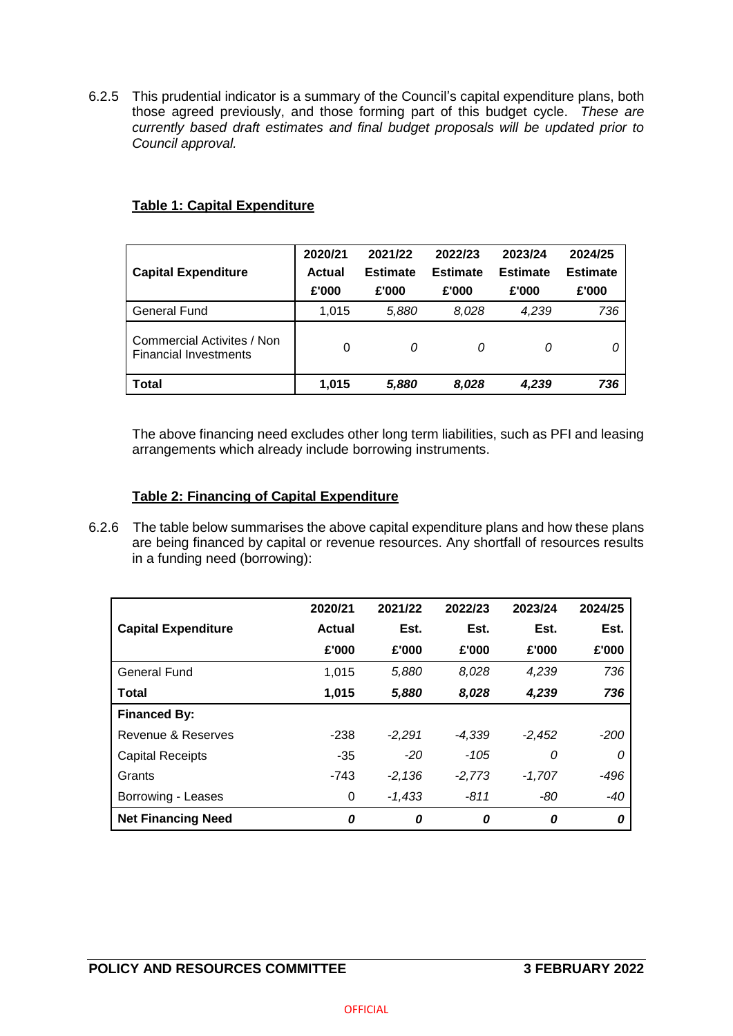6.2.5 This prudential indicator is a summary of the Council's capital expenditure plans, both those agreed previously, and those forming part of this budget cycle. *These are currently based draft estimates and final budget proposals will be updated prior to Council approval.*

| <b>Capital Expenditure</b>                                 | 2020/21<br>Actual<br>£'000 | 2021/22<br><b>Estimate</b><br>£'000 | 2022/23<br><b>Estimate</b><br>£'000 | 2023/24<br><b>Estimate</b><br>£'000 | 2024/25<br><b>Estimate</b><br>£'000 |
|------------------------------------------------------------|----------------------------|-------------------------------------|-------------------------------------|-------------------------------------|-------------------------------------|
| <b>General Fund</b>                                        | 1.015                      | 5,880                               | 8,028                               | 4.239                               | 736                                 |
| Commercial Activites / Non<br><b>Financial Investments</b> | 0                          | 0                                   | 0                                   | 0                                   |                                     |
| <b>Total</b>                                               | 1,015                      | 5,880                               | 8,028                               | 4,239                               | 736                                 |

## **Table 1: Capital Expenditure**

The above financing need excludes other long term liabilities, such as PFI and leasing arrangements which already include borrowing instruments.

## **Table 2: Financing of Capital Expenditure**

6.2.6 The table below summarises the above capital expenditure plans and how these plans are being financed by capital or revenue resources. Any shortfall of resources results in a funding need (borrowing):

|                            | 2020/21 | 2021/22  | 2022/23  | 2023/24  | 2024/25 |
|----------------------------|---------|----------|----------|----------|---------|
| <b>Capital Expenditure</b> | Actual  | Est.     | Est.     | Est.     | Est.    |
|                            | £'000   | £'000    | £'000    | £'000    | £'000   |
| General Fund               | 1,015   | 5,880    | 8,028    | 4,239    | 736     |
| Total                      | 1,015   | 5,880    | 8,028    | 4,239    | 736     |
| <b>Financed By:</b>        |         |          |          |          |         |
| Revenue & Reserves         | $-238$  | $-2.291$ | $-4,339$ | $-2,452$ | -200    |
| <b>Capital Receipts</b>    | $-35$   | $-20$    | $-105$   | 0        | 0       |
| Grants                     | $-743$  | $-2,136$ | $-2,773$ | $-1.707$ | $-496$  |
| Borrowing - Leases         | 0       | $-1.433$ | $-811$   | -80      | $-40$   |
| <b>Net Financing Need</b>  | 0       | 0        | 0        | 0        | 0       |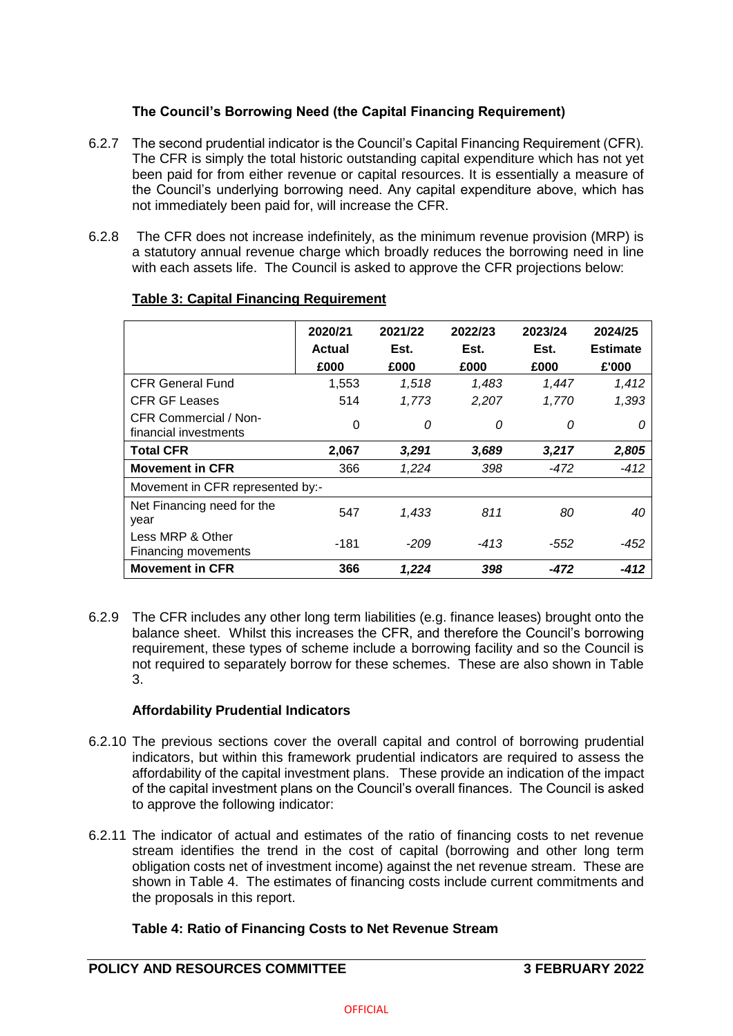# **The Council's Borrowing Need (the Capital Financing Requirement)**

- 6.2.7 The second prudential indicator is the Council's Capital Financing Requirement (CFR). The CFR is simply the total historic outstanding capital expenditure which has not yet been paid for from either revenue or capital resources. It is essentially a measure of the Council's underlying borrowing need. Any capital expenditure above, which has not immediately been paid for, will increase the CFR.
- 6.2.8 The CFR does not increase indefinitely, as the minimum revenue provision (MRP) is a statutory annual revenue charge which broadly reduces the borrowing need in line with each assets life. The Council is asked to approve the CFR projections below:

|                                                | 2020/21<br>Actual<br>£000 | 2021/22<br>Est.<br>£000 | 2022/23<br>Est.<br>£000 | 2023/24<br>Est.<br>£000 | 2024/25<br><b>Estimate</b><br>£'000 |
|------------------------------------------------|---------------------------|-------------------------|-------------------------|-------------------------|-------------------------------------|
| <b>CFR General Fund</b>                        | 1,553                     | 1,518                   | 1,483                   | 1,447                   | 1,412                               |
| <b>CFR GF Leases</b>                           | 514                       | 1,773                   | 2,207                   | 1,770                   | 1,393                               |
| CFR Commercial / Non-<br>financial investments | 0                         | 0                       | 0                       | 0                       | 0                                   |
| <b>Total CFR</b>                               | 2,067                     | 3,291                   | 3,689                   | 3,217                   | 2,805                               |
| <b>Movement in CFR</b>                         | 366                       | 1,224                   | 398                     | -472                    | $-412$                              |
| Movement in CFR represented by:-               |                           |                         |                         |                         |                                     |
| Net Financing need for the<br>year             | 547                       | 1,433                   | 811                     | 80                      | 40                                  |
| Less MRP & Other<br>Financing movements        | -181                      | -209                    | -413                    | -552                    | -452                                |
| <b>Movement in CFR</b>                         | 366                       | 1.224                   | 398                     | -472                    | -412                                |

# **Table 3: Capital Financing Requirement**

6.2.9 The CFR includes any other long term liabilities (e.g. finance leases) brought onto the balance sheet. Whilst this increases the CFR, and therefore the Council's borrowing requirement, these types of scheme include a borrowing facility and so the Council is not required to separately borrow for these schemes. These are also shown in Table 3.

# **Affordability Prudential Indicators**

- 6.2.10 The previous sections cover the overall capital and control of borrowing prudential indicators, but within this framework prudential indicators are required to assess the affordability of the capital investment plans. These provide an indication of the impact of the capital investment plans on the Council's overall finances. The Council is asked to approve the following indicator:
- 6.2.11 The indicator of actual and estimates of the ratio of financing costs to net revenue stream identifies the trend in the cost of capital (borrowing and other long term obligation costs net of investment income) against the net revenue stream. These are shown in Table 4. The estimates of financing costs include current commitments and the proposals in this report.

# **Table 4: Ratio of Financing Costs to Net Revenue Stream**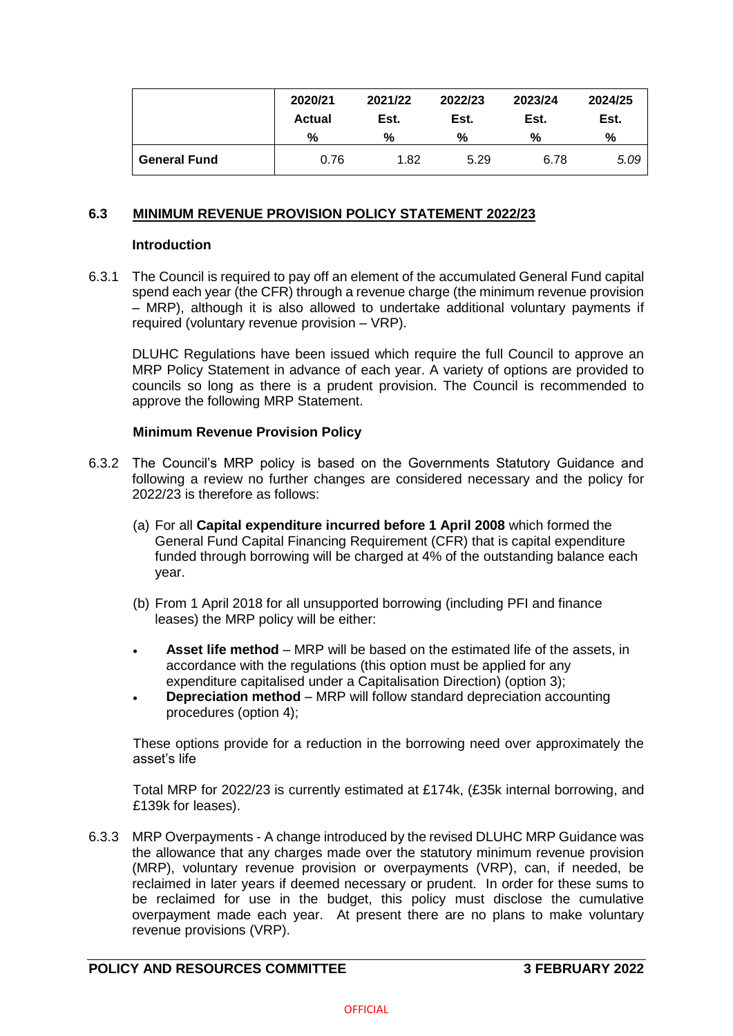|                     | 2020/21<br><b>Actual</b> | 2021/22<br>Est. | 2022/23<br>Est. | 2023/24<br>Est. | 2024/25<br>Est. |
|---------------------|--------------------------|-----------------|-----------------|-----------------|-----------------|
|                     | %                        | %               | %               | %               | %               |
| <b>General Fund</b> | 0.76                     | 1.82            | 5.29            | 6.78            | 5.09            |

### **6.3 MINIMUM REVENUE PROVISION POLICY STATEMENT 2022/23**

#### **Introduction**

6.3.1 The Council is required to pay off an element of the accumulated General Fund capital spend each year (the CFR) through a revenue charge (the minimum revenue provision – MRP), although it is also allowed to undertake additional voluntary payments if required (voluntary revenue provision – VRP).

DLUHC Regulations have been issued which require the full Council to approve an MRP Policy Statement in advance of each year. A variety of options are provided to councils so long as there is a prudent provision. The Council is recommended to approve the following MRP Statement.

### **Minimum Revenue Provision Policy**

- 6.3.2 The Council's MRP policy is based on the Governments Statutory Guidance and following a review no further changes are considered necessary and the policy for 2022/23 is therefore as follows:
	- (a) For all **Capital expenditure incurred before 1 April 2008** which formed the General Fund Capital Financing Requirement (CFR) that is capital expenditure funded through borrowing will be charged at 4% of the outstanding balance each year.
	- (b) From 1 April 2018 for all unsupported borrowing (including PFI and finance leases) the MRP policy will be either:
	- **Asset life method** MRP will be based on the estimated life of the assets, in accordance with the regulations (this option must be applied for any expenditure capitalised under a Capitalisation Direction) (option 3);
	- **Depreciation method**  MRP will follow standard depreciation accounting procedures (option 4);

These options provide for a reduction in the borrowing need over approximately the asset's life

Total MRP for 2022/23 is currently estimated at £174k, (£35k internal borrowing, and £139k for leases).

6.3.3 MRP Overpayments - A change introduced by the revised DLUHC MRP Guidance was the allowance that any charges made over the statutory minimum revenue provision (MRP), voluntary revenue provision or overpayments (VRP), can, if needed, be reclaimed in later years if deemed necessary or prudent. In order for these sums to be reclaimed for use in the budget, this policy must disclose the cumulative overpayment made each year. At present there are no plans to make voluntary revenue provisions (VRP).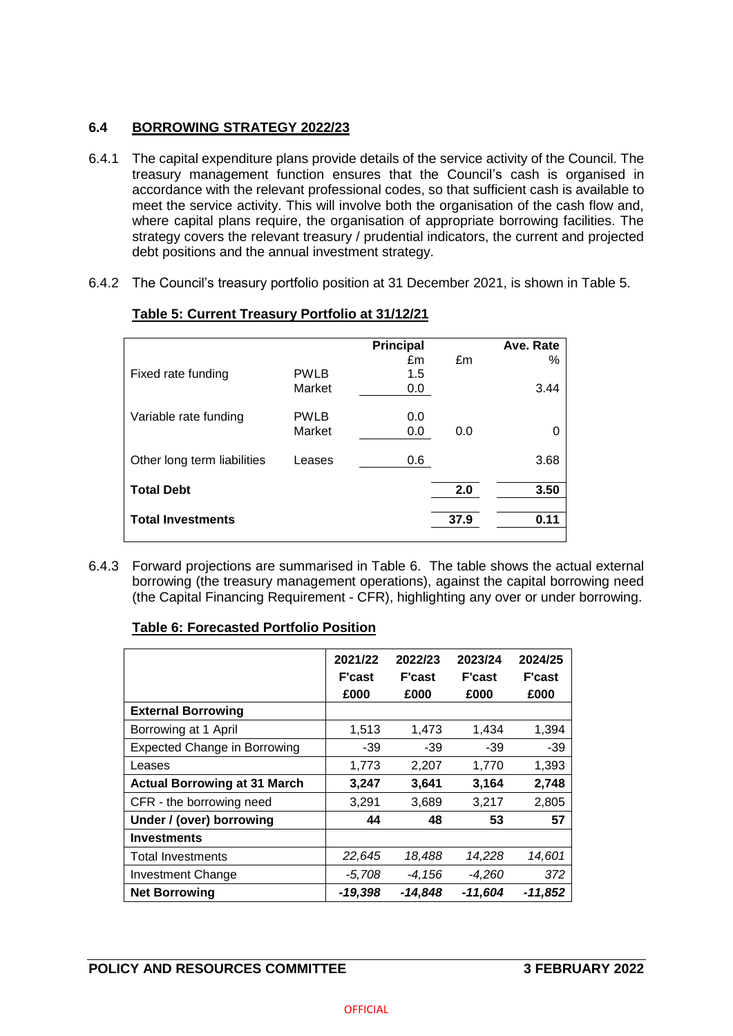# **6.4 BORROWING STRATEGY 2022/23**

- 6.4.1 The capital expenditure plans provide details of the service activity of the Council. The treasury management function ensures that the Council's cash is organised in accordance with the relevant professional codes, so that sufficient cash is available to meet the service activity. This will involve both the organisation of the cash flow and, where capital plans require, the organisation of appropriate borrowing facilities. The strategy covers the relevant treasury / prudential indicators, the current and projected debt positions and the annual investment strategy.
- 6.4.2 The Council's treasury portfolio position at 31 December 2021, is shown in Table 5.

|                             |             | <b>Principal</b> |      | Ave. Rate |
|-----------------------------|-------------|------------------|------|-----------|
|                             |             | £m               | £m   | %         |
| Fixed rate funding          | <b>PWLB</b> | 1.5              |      |           |
|                             | Market      | 0.0              |      | 3.44      |
| Variable rate funding       | <b>PWLB</b> | 0.0              |      |           |
|                             | Market      | 0.0              | 0.0  | 0         |
|                             |             |                  |      |           |
| Other long term liabilities | Leases      | 0.6              |      | 3.68      |
|                             |             |                  |      |           |
| <b>Total Debt</b>           |             |                  | 2.0  | 3.50      |
|                             |             |                  |      |           |
| <b>Total Investments</b>    |             |                  | 37.9 | 0.11      |
|                             |             |                  |      |           |

# **Table 5: Current Treasury Portfolio at 31/12/21**

6.4.3 Forward projections are summarised in Table 6. The table shows the actual external borrowing (the treasury management operations), against the capital borrowing need (the Capital Financing Requirement - CFR), highlighting any over or under borrowing.

# **Table 6: Forecasted Portfolio Position**

|                                     | 2021/22<br><b>F'cast</b><br>£000 | 2022/23<br><b>F'cast</b><br>£000 | 2023/24<br><b>F'cast</b><br>£000 | 2024/25<br><b>F'cast</b><br>£000 |
|-------------------------------------|----------------------------------|----------------------------------|----------------------------------|----------------------------------|
| <b>External Borrowing</b>           |                                  |                                  |                                  |                                  |
| Borrowing at 1 April                | 1,513                            | 1,473                            | 1,434                            | 1,394                            |
| <b>Expected Change in Borrowing</b> | $-39$                            | $-39$                            | $-39$                            | $-39$                            |
| Leases                              | 1,773                            | 2,207                            | 1,770                            | 1,393                            |
| <b>Actual Borrowing at 31 March</b> | 3,247                            | 3,641                            | 3,164                            | 2,748                            |
| CFR - the borrowing need            | 3,291                            | 3,689                            | 3,217                            | 2,805                            |
| Under / (over) borrowing            | 44                               | 48                               | 53                               | 57                               |
| <b>Investments</b>                  |                                  |                                  |                                  |                                  |
| <b>Total Investments</b>            | 22,645                           | 18,488                           | 14,228                           | 14,601                           |
| <b>Investment Change</b>            | $-5,708$                         | $-4.156$                         | $-4,260$                         | 372                              |
| <b>Net Borrowing</b>                | -19,398                          | -14.848                          | -11,604                          | $-11,852$                        |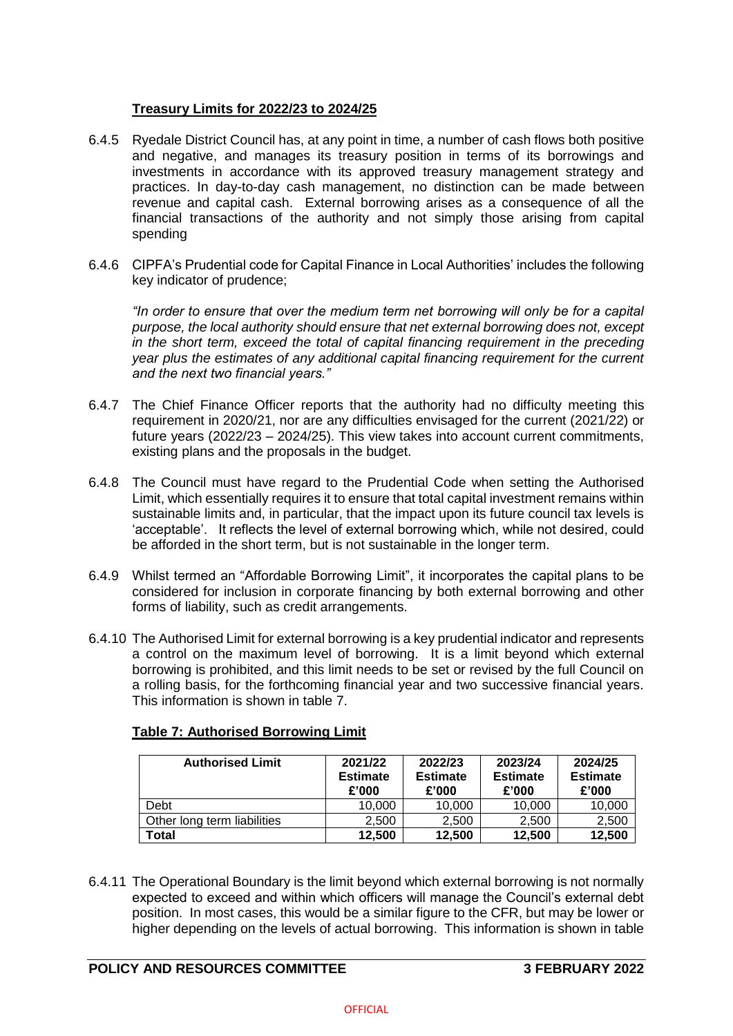# **Treasury Limits for 2022/23 to 2024/25**

- 6.4.5 Ryedale District Council has, at any point in time, a number of cash flows both positive and negative, and manages its treasury position in terms of its borrowings and investments in accordance with its approved treasury management strategy and practices. In day-to-day cash management, no distinction can be made between revenue and capital cash. External borrowing arises as a consequence of all the financial transactions of the authority and not simply those arising from capital spending
- 6.4.6 CIPFA's Prudential code for Capital Finance in Local Authorities' includes the following key indicator of prudence;

*"In order to ensure that over the medium term net borrowing will only be for a capital purpose, the local authority should ensure that net external borrowing does not, except in the short term, exceed the total of capital financing requirement in the preceding year plus the estimates of any additional capital financing requirement for the current and the next two financial years."*

- 6.4.7 The Chief Finance Officer reports that the authority had no difficulty meeting this requirement in 2020/21, nor are any difficulties envisaged for the current (2021/22) or future years (2022/23 – 2024/25). This view takes into account current commitments, existing plans and the proposals in the budget.
- 6.4.8 The Council must have regard to the Prudential Code when setting the Authorised Limit, which essentially requires it to ensure that total capital investment remains within sustainable limits and, in particular, that the impact upon its future council tax levels is 'acceptable'. It reflects the level of external borrowing which, while not desired, could be afforded in the short term, but is not sustainable in the longer term.
- 6.4.9 Whilst termed an "Affordable Borrowing Limit", it incorporates the capital plans to be considered for inclusion in corporate financing by both external borrowing and other forms of liability, such as credit arrangements.
- 6.4.10 The Authorised Limit for external borrowing is a key prudential indicator and represents a control on the maximum level of borrowing. It is a limit beyond which external borrowing is prohibited, and this limit needs to be set or revised by the full Council on a rolling basis, for the forthcoming financial year and two successive financial years. This information is shown in table 7.

| <b>Authorised Limit</b>     | 2021/22<br><b>Estimate</b><br>£'000 | 2022/23<br><b>Estimate</b><br>£'000 | 2023/24<br><b>Estimate</b><br>£'000 | 2024/25<br><b>Estimate</b><br>£'000 |
|-----------------------------|-------------------------------------|-------------------------------------|-------------------------------------|-------------------------------------|
| Debt                        | 10.000                              | 10,000                              | 10,000                              | 10,000                              |
| Other long term liabilities | 2.500                               | 2.500                               | 2.500                               | 2,500                               |
| Total                       | 12.500                              | 12,500                              | 12,500                              | 12,500                              |

# **Table 7: Authorised Borrowing Limit**

6.4.11 The Operational Boundary is the limit beyond which external borrowing is not normally expected to exceed and within which officers will manage the Council's external debt position. In most cases, this would be a similar figure to the CFR, but may be lower or higher depending on the levels of actual borrowing. This information is shown in table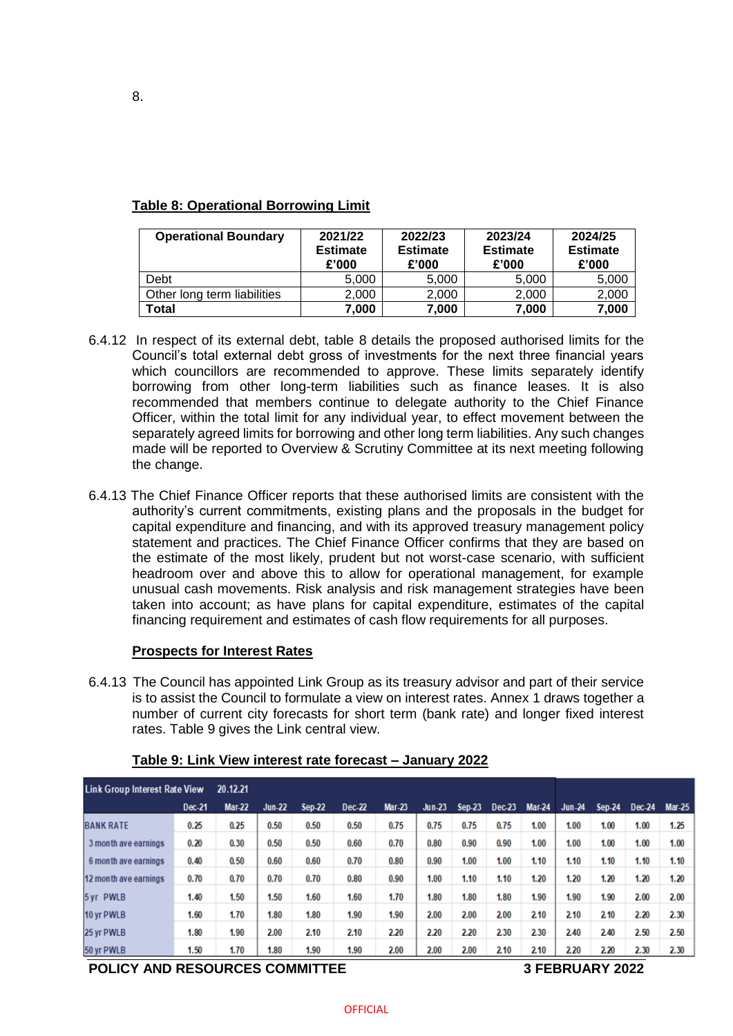| <b>Operational Boundary</b> | 2021/22<br><b>Estimate</b><br>£'000 | 2022/23<br><b>Estimate</b><br>£'000 | 2023/24<br><b>Estimate</b><br>£'000 | 2024/25<br><b>Estimate</b><br>£'000 |
|-----------------------------|-------------------------------------|-------------------------------------|-------------------------------------|-------------------------------------|
| Debt                        | 5,000                               | 5,000                               | 5,000                               | 5,000                               |
| Other long term liabilities | 2,000                               | 2,000                               | 2,000                               | 2,000                               |
| Total                       | 7,000                               | 7,000                               | 7,000                               | 7,000                               |

## **Table 8: Operational Borrowing Limit**

- 6.4.12 In respect of its external debt, table 8 details the proposed authorised limits for the Council's total external debt gross of investments for the next three financial years which councillors are recommended to approve. These limits separately identify borrowing from other long-term liabilities such as finance leases. It is also recommended that members continue to delegate authority to the Chief Finance Officer, within the total limit for any individual year, to effect movement between the separately agreed limits for borrowing and other long term liabilities. Any such changes made will be reported to Overview & Scrutiny Committee at its next meeting following the change.
- 6.4.13 The Chief Finance Officer reports that these authorised limits are consistent with the authority's current commitments, existing plans and the proposals in the budget for capital expenditure and financing, and with its approved treasury management policy statement and practices. The Chief Finance Officer confirms that they are based on the estimate of the most likely, prudent but not worst-case scenario, with sufficient headroom over and above this to allow for operational management, for example unusual cash movements. Risk analysis and risk management strategies have been taken into account; as have plans for capital expenditure, estimates of the capital financing requirement and estimates of cash flow requirements for all purposes.

# **Prospects for Interest Rates**

6.4.13 The Council has appointed Link Group as its treasury advisor and part of their service is to assist the Council to formulate a view on interest rates. Annex 1 draws together a number of current city forecasts for short term (bank rate) and longer fixed interest rates. Table 9 gives the Link central view.

| <b>Link Group Interest Rate View</b> |        | 20.12.21      |               |               |        |               |          |               |          |               |               |               |        |               |
|--------------------------------------|--------|---------------|---------------|---------------|--------|---------------|----------|---------------|----------|---------------|---------------|---------------|--------|---------------|
|                                      | Dec-21 | <b>Mar-22</b> | <b>Jun-22</b> | <b>Sep-22</b> | Dec-22 | <b>Mar-23</b> | $Jun-23$ | <b>Sep-23</b> | $Dec-23$ | <b>Mar-24</b> | <b>Jun-24</b> | <b>Sep-24</b> | Dec-24 | <b>Mar-25</b> |
| <b>BANK RATE</b>                     | 0.25   | 0.25          | 0.50          | 0.50          | 0.50   | 0.75          | 0.75     | 0.75          | 0.75     | 1.00          | 1.00          | 1.00          | 1.00   | 1.25          |
| 3 month ave earnings                 | 0.20   | 0.30          | 0.50          | 0.50          | 0.60   | 0.70          | 0.80     | 0.90          | 0.90     | 1.00          | 1.00          | 1.00          | 1.00   | 1.00          |
| 6 month ave earnings                 | 0.40   | 0.50          | 0.60          | 0.60          | 0.70   | 0.80          | 0.90     | 1.00          | 1.00     | 1.10          | 1.10          | 1.10          | 1.10   | 1.10          |
| 12 month ave earnings                | 0.70   | 0.70          | 0.70          | 0.70          | 0.80   | 0.90          | 1.00     | 1.10          | 1.10     | 1.20          | 1.20          | 1.20          | 1.20   | 1.20          |
| 5 yr PWLB                            | 1.40   | 1.50          | 1.50          | 1.60          | 1.60   | 1.70          | 1.80     | 1.80          | 1.80     | 1.90          | 1.90          | 1.90          | 2.00   | 2.00          |
| 10 yr PWLB                           | 1.60   | 1.70          | 1.80          | 1.80          | 1.90   | 1.90          | 2.00     | 2.00          | 2.00     | 210           | 2.10          | 2.10          | 2.20   | 2.30          |
| 25 yr PWLB                           | 1.80   | 1.90          | 2.00          | 2.10          | 2.10   | 2.20          | 2.20     | 2.20          | 2.30     | 2.30          | 2.40          | 2.40          | 2.50   | 2.50          |
| 50 yr PWLB                           | 1.50   | 1.70          | 1.80          | 1.90          | 1.90   | 2.00          | 2.00     | 2.00          | 2.10     | 2.10          | 2.20          | 2.20          | 2.30   | 2.30          |

## **Table 9: Link View interest rate forecast – January 2022**

**POLICY AND RESOURCES COMMITTEE 3 FEBRUARY 2022**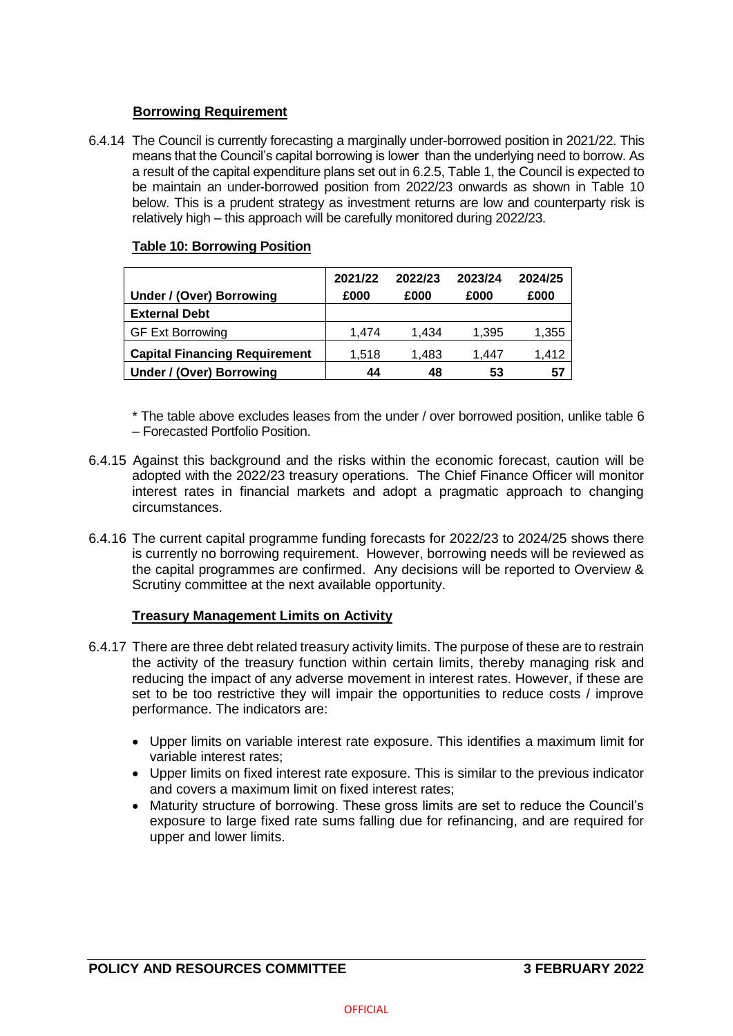# **Borrowing Requirement**

6.4.14 The Council is currently forecasting a marginally under-borrowed position in 2021/22. This means that the Council's capital borrowing is lower than the underlying need to borrow. As a result of the capital expenditure plans set out in 6.2.5, Table 1, the Council is expected to be maintain an under-borrowed position from 2022/23 onwards as shown in Table 10 below. This is a prudent strategy as investment returns are low and counterparty risk is relatively high – this approach will be carefully monitored during 2022/23.

## **Table 10: Borrowing Position**

| Under / (Over) Borrowing             | 2021/22<br>£000 | 2022/23<br>£000 | 2023/24<br>£000 | 2024/25<br>£000 |
|--------------------------------------|-----------------|-----------------|-----------------|-----------------|
| <b>External Debt</b>                 |                 |                 |                 |                 |
| <b>GF Ext Borrowing</b>              | 1.474           | 1.434           | 1,395           | 1,355           |
| <b>Capital Financing Requirement</b> | 1,518           | 1.483           | 1.447           | 1.412           |
| Under / (Over) Borrowing             | 44              | 48              | 53              | 57              |

\* The table above excludes leases from the under / over borrowed position, unlike table 6 – Forecasted Portfolio Position.

- 6.4.15 Against this background and the risks within the economic forecast, caution will be adopted with the 2022/23 treasury operations. The Chief Finance Officer will monitor interest rates in financial markets and adopt a pragmatic approach to changing circumstances.
- 6.4.16 The current capital programme funding forecasts for 2022/23 to 2024/25 shows there is currently no borrowing requirement. However, borrowing needs will be reviewed as the capital programmes are confirmed. Any decisions will be reported to Overview & Scrutiny committee at the next available opportunity.

## **Treasury Management Limits on Activity**

- 6.4.17 There are three debt related treasury activity limits. The purpose of these are to restrain the activity of the treasury function within certain limits, thereby managing risk and reducing the impact of any adverse movement in interest rates. However, if these are set to be too restrictive they will impair the opportunities to reduce costs / improve performance. The indicators are:
	- Upper limits on variable interest rate exposure. This identifies a maximum limit for variable interest rates;
	- Upper limits on fixed interest rate exposure. This is similar to the previous indicator and covers a maximum limit on fixed interest rates;
	- Maturity structure of borrowing. These gross limits are set to reduce the Council's exposure to large fixed rate sums falling due for refinancing, and are required for upper and lower limits.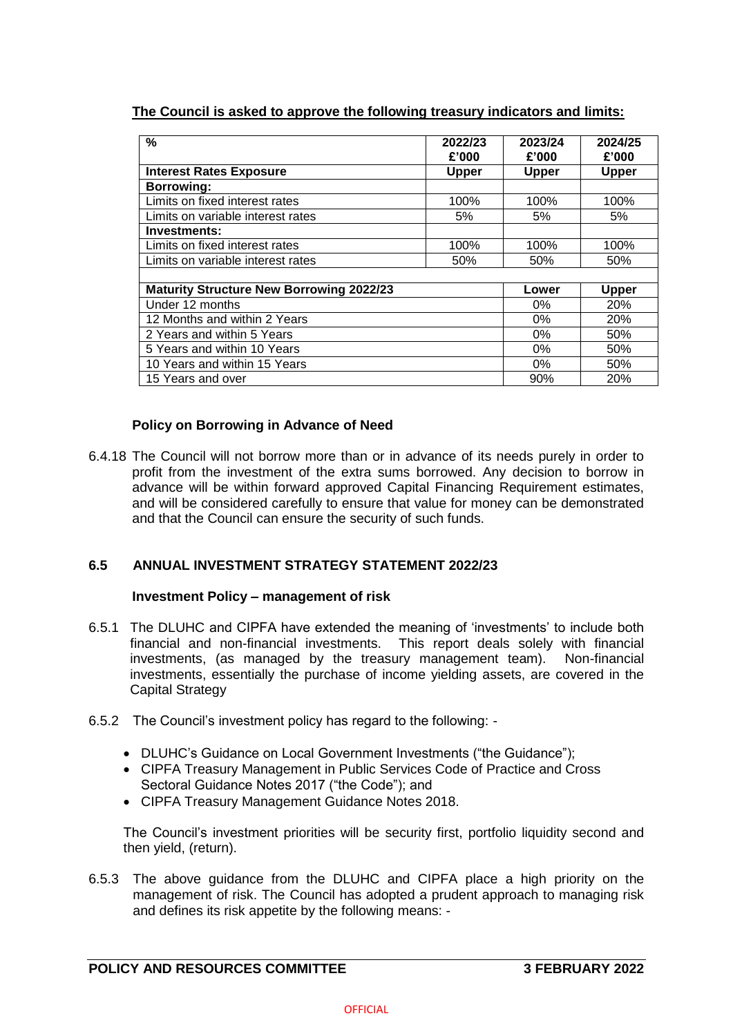# **The Council is asked to approve the following treasury indicators and limits:**

| $\%$                                            | 2022/23<br>£'000 | 2023/24<br>£'000 | 2024/25<br>£'000 |
|-------------------------------------------------|------------------|------------------|------------------|
| <b>Interest Rates Exposure</b>                  | <b>Upper</b>     | <b>Upper</b>     | <b>Upper</b>     |
| <b>Borrowing:</b>                               |                  |                  |                  |
| Limits on fixed interest rates                  | 100%             | 100%             | 100%             |
| Limits on variable interest rates               | 5%               | 5%               | 5%               |
| Investments:                                    |                  |                  |                  |
| Limits on fixed interest rates                  | 100%             | 100%             | 100%             |
| Limits on variable interest rates               | 50%              | 50%              | 50%              |
|                                                 |                  |                  |                  |
| <b>Maturity Structure New Borrowing 2022/23</b> |                  | Lower            | <b>Upper</b>     |
| Under 12 months                                 |                  | $0\%$            | 20%              |
| 12 Months and within 2 Years                    |                  | $0\%$            | 20%              |
| 2 Years and within 5 Years                      |                  | $0\%$            | 50%              |
| 5 Years and within 10 Years                     |                  | $0\%$            | 50%              |
| 10 Years and within 15 Years                    |                  | 0%               | 50%              |
| 15 Years and over                               |                  | 90%              | <b>20%</b>       |

# **Policy on Borrowing in Advance of Need**

6.4.18 The Council will not borrow more than or in advance of its needs purely in order to profit from the investment of the extra sums borrowed. Any decision to borrow in advance will be within forward approved Capital Financing Requirement estimates, and will be considered carefully to ensure that value for money can be demonstrated and that the Council can ensure the security of such funds.

# **6.5 ANNUAL INVESTMENT STRATEGY STATEMENT 2022/23**

## **Investment Policy – management of risk**

- 6.5.1 The DLUHC and CIPFA have extended the meaning of 'investments' to include both financial and non-financial investments. This report deals solely with financial investments, (as managed by the treasury management team). Non-financial investments, essentially the purchase of income yielding assets, are covered in the Capital Strategy
- 6.5.2 The Council's investment policy has regard to the following:
	- DLUHC's Guidance on Local Government Investments ("the Guidance");
	- CIPFA Treasury Management in Public Services Code of Practice and Cross Sectoral Guidance Notes 2017 ("the Code"); and
	- CIPFA Treasury Management Guidance Notes 2018.

The Council's investment priorities will be security first, portfolio liquidity second and then yield, (return).

6.5.3 The above guidance from the DLUHC and CIPFA place a high priority on the management of risk. The Council has adopted a prudent approach to managing risk and defines its risk appetite by the following means: -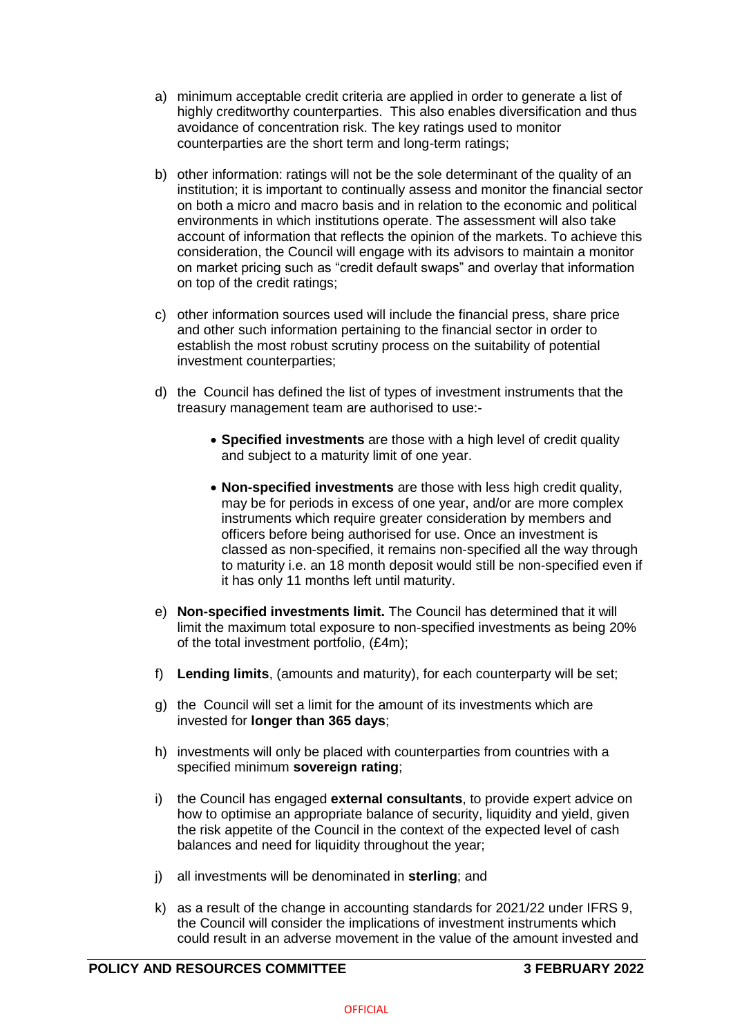- a) minimum acceptable credit criteria are applied in order to generate a list of highly creditworthy counterparties. This also enables diversification and thus avoidance of concentration risk. The key ratings used to monitor counterparties are the short term and long-term ratings;
- b) other information: ratings will not be the sole determinant of the quality of an institution; it is important to continually assess and monitor the financial sector on both a micro and macro basis and in relation to the economic and political environments in which institutions operate. The assessment will also take account of information that reflects the opinion of the markets. To achieve this consideration, the Council will engage with its advisors to maintain a monitor on market pricing such as "credit default swaps" and overlay that information on top of the credit ratings;
- c) other information sources used will include the financial press, share price and other such information pertaining to the financial sector in order to establish the most robust scrutiny process on the suitability of potential investment counterparties;
- d) the Council has defined the list of types of investment instruments that the treasury management team are authorised to use:-
	- **Specified investments** are those with a high level of credit quality and subject to a maturity limit of one year.
	- **Non-specified investments** are those with less high credit quality, may be for periods in excess of one year, and/or are more complex instruments which require greater consideration by members and officers before being authorised for use. Once an investment is classed as non-specified, it remains non-specified all the way through to maturity i.e. an 18 month deposit would still be non-specified even if it has only 11 months left until maturity.
- e) **Non-specified investments limit.** The Council has determined that it will limit the maximum total exposure to non-specified investments as being 20% of the total investment portfolio, (£4m);
- f) **Lending limits**, (amounts and maturity), for each counterparty will be set;
- g) the Council will set a limit for the amount of its investments which are invested for **longer than 365 days**;
- h) investments will only be placed with counterparties from countries with a specified minimum **sovereign rating**;
- i) the Council has engaged **external consultants**, to provide expert advice on how to optimise an appropriate balance of security, liquidity and yield, given the risk appetite of the Council in the context of the expected level of cash balances and need for liquidity throughout the year;
- j) all investments will be denominated in **sterling**; and
- k) as a result of the change in accounting standards for 2021/22 under IFRS 9, the Council will consider the implications of investment instruments which could result in an adverse movement in the value of the amount invested and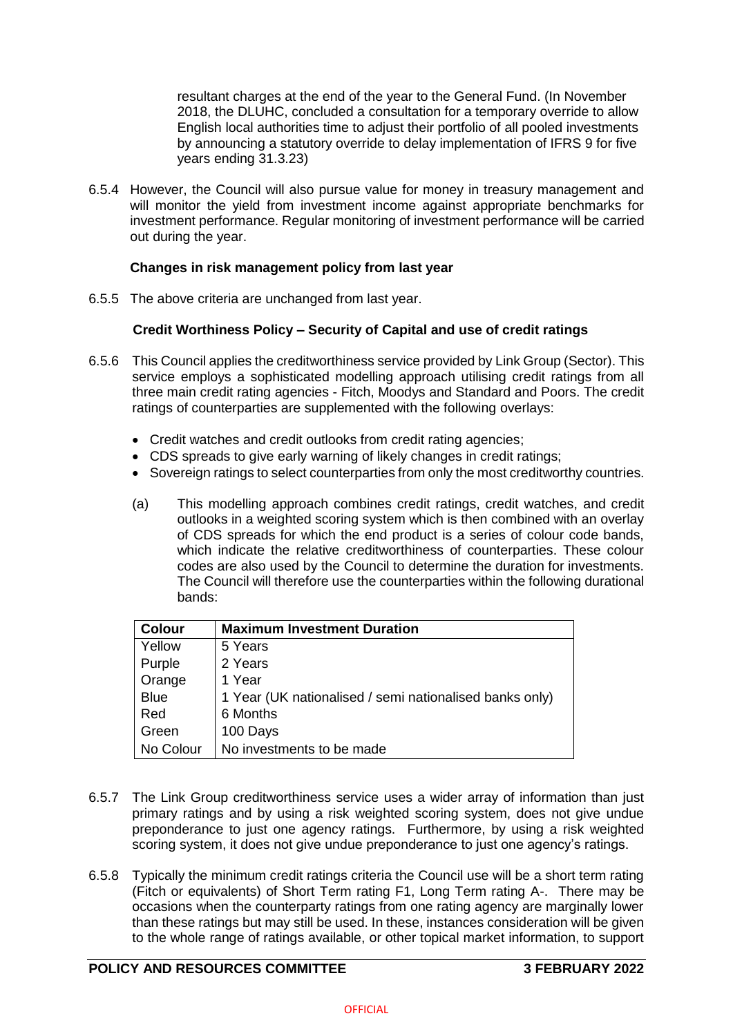resultant charges at the end of the year to the General Fund. (In November 2018, the DLUHC, concluded a consultation for a temporary override to allow English local authorities time to adjust their portfolio of all pooled investments by announcing a statutory override to delay implementation of IFRS 9 for five years ending 31.3.23)

6.5.4 However, the Council will also pursue value for money in treasury management and will monitor the yield from investment income against appropriate benchmarks for investment performance. Regular monitoring of investment performance will be carried out during the year.

## **Changes in risk management policy from last year**

6.5.5 The above criteria are unchanged from last year.

## **Credit Worthiness Policy – Security of Capital and use of credit ratings**

- 6.5.6 This Council applies the creditworthiness service provided by Link Group (Sector). This service employs a sophisticated modelling approach utilising credit ratings from all three main credit rating agencies - Fitch, Moodys and Standard and Poors. The credit ratings of counterparties are supplemented with the following overlays:
	- Credit watches and credit outlooks from credit rating agencies;
	- CDS spreads to give early warning of likely changes in credit ratings;
	- Sovereign ratings to select counterparties from only the most creditworthy countries.
	- (a) This modelling approach combines credit ratings, credit watches, and credit outlooks in a weighted scoring system which is then combined with an overlay of CDS spreads for which the end product is a series of colour code bands, which indicate the relative creditworthiness of counterparties. These colour codes are also used by the Council to determine the duration for investments. The Council will therefore use the counterparties within the following durational bands:

| <b>Colour</b> | <b>Maximum Investment Duration</b>                      |
|---------------|---------------------------------------------------------|
| Yellow        | 5 Years                                                 |
| Purple        | 2 Years                                                 |
| Orange        | 1 Year                                                  |
| <b>Blue</b>   | 1 Year (UK nationalised / semi nationalised banks only) |
| Red           | 6 Months                                                |
| Green         | 100 Days                                                |
| No Colour     | No investments to be made                               |

- 6.5.7 The Link Group creditworthiness service uses a wider array of information than just primary ratings and by using a risk weighted scoring system, does not give undue preponderance to just one agency ratings. Furthermore, by using a risk weighted scoring system, it does not give undue preponderance to just one agency's ratings.
- 6.5.8 Typically the minimum credit ratings criteria the Council use will be a short term rating (Fitch or equivalents) of Short Term rating F1, Long Term rating A-. There may be occasions when the counterparty ratings from one rating agency are marginally lower than these ratings but may still be used. In these, instances consideration will be given to the whole range of ratings available, or other topical market information, to support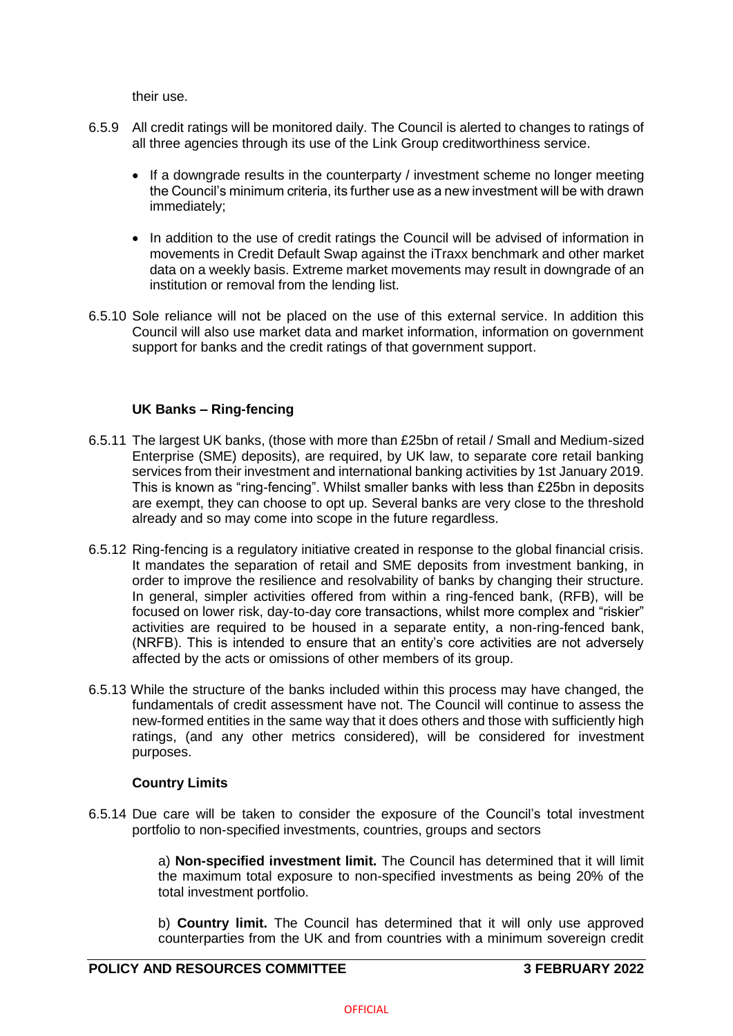their use.

- 6.5.9 All credit ratings will be monitored daily. The Council is alerted to changes to ratings of all three agencies through its use of the Link Group creditworthiness service.
	- If a downgrade results in the counterparty / investment scheme no longer meeting the Council's minimum criteria, its further use as a new investment will be with drawn immediately;
	- In addition to the use of credit ratings the Council will be advised of information in movements in Credit Default Swap against the iTraxx benchmark and other market data on a weekly basis. Extreme market movements may result in downgrade of an institution or removal from the lending list.
- 6.5.10 Sole reliance will not be placed on the use of this external service. In addition this Council will also use market data and market information, information on government support for banks and the credit ratings of that government support.

## **UK Banks – Ring-fencing**

- 6.5.11 The largest UK banks, (those with more than £25bn of retail / Small and Medium-sized Enterprise (SME) deposits), are required, by UK law, to separate core retail banking services from their investment and international banking activities by 1st January 2019. This is known as "ring-fencing". Whilst smaller banks with less than £25bn in deposits are exempt, they can choose to opt up. Several banks are very close to the threshold already and so may come into scope in the future regardless.
- 6.5.12 Ring-fencing is a regulatory initiative created in response to the global financial crisis. It mandates the separation of retail and SME deposits from investment banking, in order to improve the resilience and resolvability of banks by changing their structure. In general, simpler activities offered from within a ring-fenced bank, (RFB), will be focused on lower risk, day-to-day core transactions, whilst more complex and "riskier" activities are required to be housed in a separate entity, a non-ring-fenced bank, (NRFB). This is intended to ensure that an entity's core activities are not adversely affected by the acts or omissions of other members of its group.
- 6.5.13 While the structure of the banks included within this process may have changed, the fundamentals of credit assessment have not. The Council will continue to assess the new-formed entities in the same way that it does others and those with sufficiently high ratings, (and any other metrics considered), will be considered for investment purposes.

## **Country Limits**

6.5.14 Due care will be taken to consider the exposure of the Council's total investment portfolio to non-specified investments, countries, groups and sectors

> a) **Non-specified investment limit.** The Council has determined that it will limit the maximum total exposure to non-specified investments as being 20% of the total investment portfolio.

> b) **Country limit.** The Council has determined that it will only use approved counterparties from the UK and from countries with a minimum sovereign credit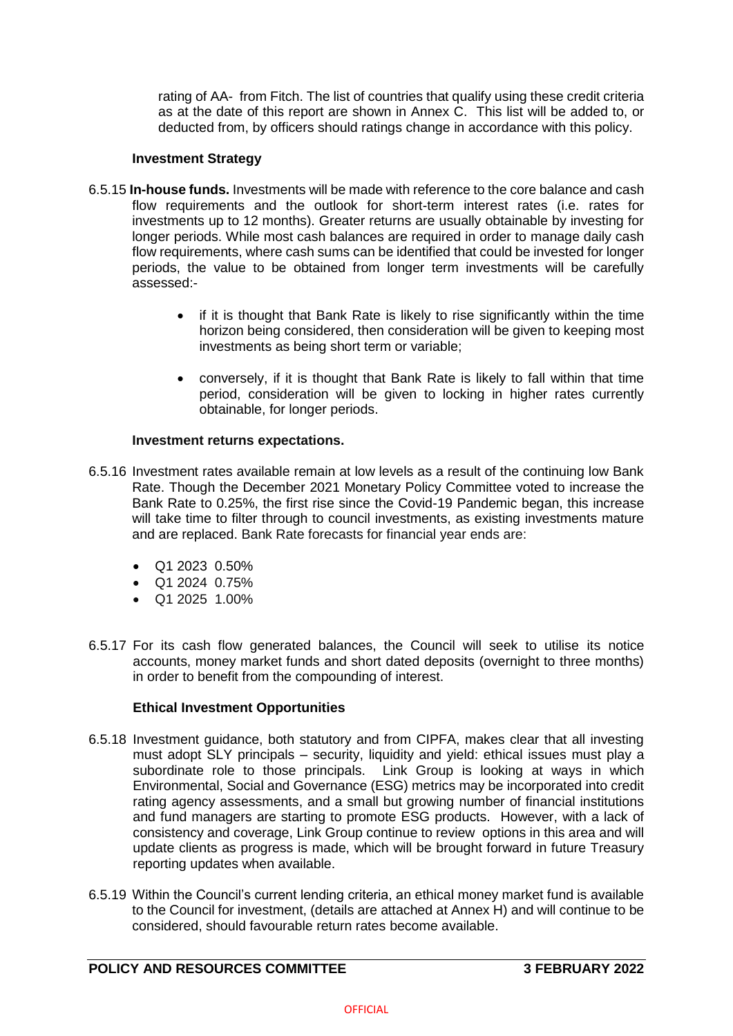rating of AA- from Fitch. The list of countries that qualify using these credit criteria as at the date of this report are shown in Annex C. This list will be added to, or deducted from, by officers should ratings change in accordance with this policy.

### **Investment Strategy**

- 6.5.15 **In-house funds.** Investments will be made with reference to the core balance and cash flow requirements and the outlook for short-term interest rates (i.e. rates for investments up to 12 months). Greater returns are usually obtainable by investing for longer periods. While most cash balances are required in order to manage daily cash flow requirements, where cash sums can be identified that could be invested for longer periods, the value to be obtained from longer term investments will be carefully assessed:-
	- if it is thought that Bank Rate is likely to rise significantly within the time horizon being considered, then consideration will be given to keeping most investments as being short term or variable;
	- conversely, if it is thought that Bank Rate is likely to fall within that time period, consideration will be given to locking in higher rates currently obtainable, for longer periods.

### **Investment returns expectations.**

- 6.5.16 Investment rates available remain at low levels as a result of the continuing low Bank Rate. Though the December 2021 Monetary Policy Committee voted to increase the Bank Rate to 0.25%, the first rise since the Covid-19 Pandemic began, this increase will take time to filter through to council investments, as existing investments mature and are replaced. Bank Rate forecasts for financial year ends are:
	- Q1 2023 0.50%
	- Q1 2024 0.75%
	- $\bullet$  Q1 2025 1.00%
- 6.5.17 For its cash flow generated balances, the Council will seek to utilise its notice accounts, money market funds and short dated deposits (overnight to three months) in order to benefit from the compounding of interest.

## **Ethical Investment Opportunities**

- 6.5.18 Investment guidance, both statutory and from CIPFA, makes clear that all investing must adopt SLY principals – security, liquidity and yield: ethical issues must play a subordinate role to those principals. Link Group is looking at ways in which Environmental, Social and Governance (ESG) metrics may be incorporated into credit rating agency assessments, and a small but growing number of financial institutions and fund managers are starting to promote ESG products. However, with a lack of consistency and coverage, Link Group continue to review options in this area and will update clients as progress is made, which will be brought forward in future Treasury reporting updates when available.
- 6.5.19 Within the Council's current lending criteria, an ethical money market fund is available to the Council for investment, (details are attached at Annex H) and will continue to be considered, should favourable return rates become available.